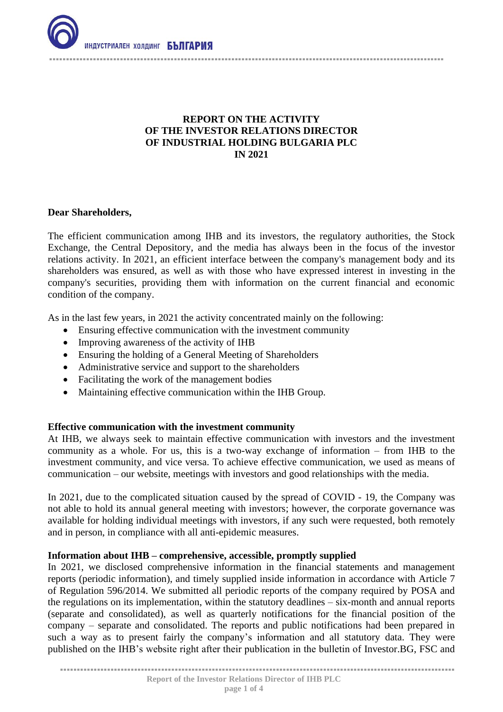

# **REPORT ON THE ACTIVITY OF THE INVESTOR RELATIONS DIRECTOR OF INDUSTRIAL HOLDING BULGARIA PLC IN 2021**

### **Dear Shareholders,**

The efficient communication among IHB and its investors, the regulatory authorities, the Stock Exchange, the Central Depository, and the media has always been in the focus of the investor relations activity. In 2021, an efficient interface between the company's management body and its shareholders was ensured, as well as with those who have expressed interest in investing in the company's securities, providing them with information on the current financial and economic condition of the company.

As in the last few years, in 2021 the activity concentrated mainly on the following:

- Ensuring effective communication with the investment community
- Improving awareness of the activity of IHB
- Ensuring the holding of a General Meeting of Shareholders
- Administrative service and support to the shareholders
- Facilitating the work of the management bodies
- Maintaining effective communication within the IHB Group.

### **Effective communication with the investment community**

At IHB, we always seek to maintain effective communication with investors and the investment community as a whole. For us, this is a two-way exchange of information – from IHB to the investment community, and vice versa. To achieve effective communication, we used as means of communication – our website, meetings with investors and good relationships with the media.

In 2021, due to the complicated situation caused by the spread of COVID - 19, the Company was not able to hold its annual general meeting with investors; however, the corporate governance was available for holding individual meetings with investors, if any such were requested, both remotely and in person, in compliance with all anti-epidemic measures.

### **Information about IHB – comprehensive, accessible, promptly supplied**

In 2021, we disclosed comprehensive information in the financial statements and management reports (periodic information), and timely supplied inside information in accordance with Article 7 of Regulation 596/2014. We submitted all periodic reports of the company required by POSA and the regulations on its implementation, within the statutory deadlines – six-month and annual reports (separate and consolidated), as well as quarterly notifications for the financial position of the company – separate and consolidated. The reports and public notifications had been prepared in such a way as to present fairly the company's information and all statutory data. They were published on the IHB's website right after their publication in the bulletin of Investor.BG, FSC and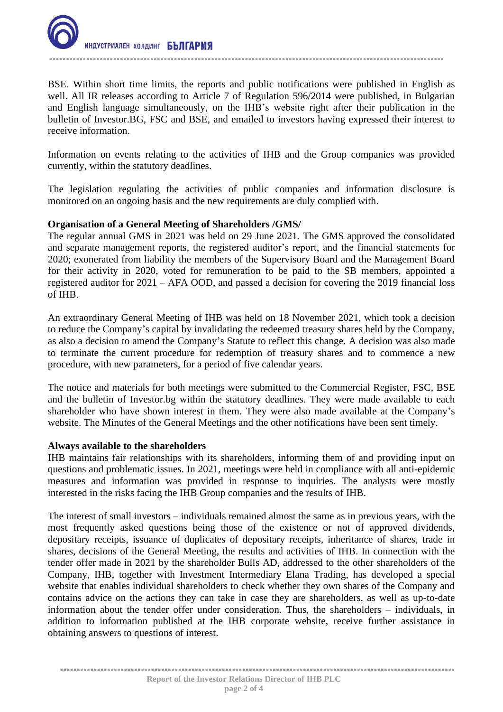

BSE. Within short time limits, the reports and public notifications were published in English as well. All IR releases according to Article 7 of Regulation 596/2014 were published, in Bulgarian and English language simultaneously, on the IHB's website right after their publication in the bulletin of Investor.BG, FSC and BSE, and emailed to investors having expressed their interest to receive information.

Information on events relating to the activities of IHB and the Group companies was provided currently, within the statutory deadlines.

The legislation regulating the activities of public companies and information disclosure is monitored on an ongoing basis and the new requirements are duly complied with.

### **Organisation of a General Meeting of Shareholders /GMS/**

The regular annual GMS in 2021 was held on 29 June 2021. The GMS approved the consolidated and separate management reports, the registered auditor's report, and the financial statements for 2020; exonerated from liability the members of the Supervisory Board and the Management Board for their activity in 2020, voted for remuneration to be paid to the SB members, appointed a registered auditor for 2021 – AFA OOD, and passed a decision for covering the 2019 financial loss of IHB.

An extraordinary General Meeting of IHB was held on 18 November 2021, which took a decision to reduce the Company's capital by invalidating the redeemed treasury shares held by the Company, as also a decision to amend the Company's Statute to reflect this change. A decision was also made to terminate the current procedure for redemption of treasury shares and to commence a new procedure, with new parameters, for a period of five calendar years.

The notice and materials for both meetings were submitted to the Commercial Register, FSC, BSE and the bulletin of Investor.bg within the statutory deadlines. They were made available to each shareholder who have shown interest in them. They were also made available at the Company's website. The Minutes of the General Meetings and the other notifications have been sent timely.

### **Always available to the shareholders**

IHB maintains fair relationships with its shareholders, informing them of and providing input on questions and problematic issues. In 2021, meetings were held in compliance with all anti-epidemic measures and information was provided in response to inquiries. The analysts were mostly interested in the risks facing the IHB Group companies and the results of IHB.

The interest of small investors – individuals remained almost the same as in previous years, with the most frequently asked questions being those of the existence or not of approved dividends, depositary receipts, issuance of duplicates of depositary receipts, inheritance of shares, trade in shares, decisions of the General Meeting, the results and activities of IHB. In connection with the tender offer made in 2021 by the shareholder Bulls AD, addressed to the other shareholders of the Company, IHB, together with Investment Intermediary Elana Trading, has developed a special website that enables individual shareholders to check whether they own shares of the Company and contains advice on the actions they can take in case they are shareholders, as well as up-to-date information about the tender offer under consideration. Thus, the shareholders – individuals, in addition to information published at the IHB corporate website, receive further assistance in obtaining answers to questions of interest.

...................................................................................................……….........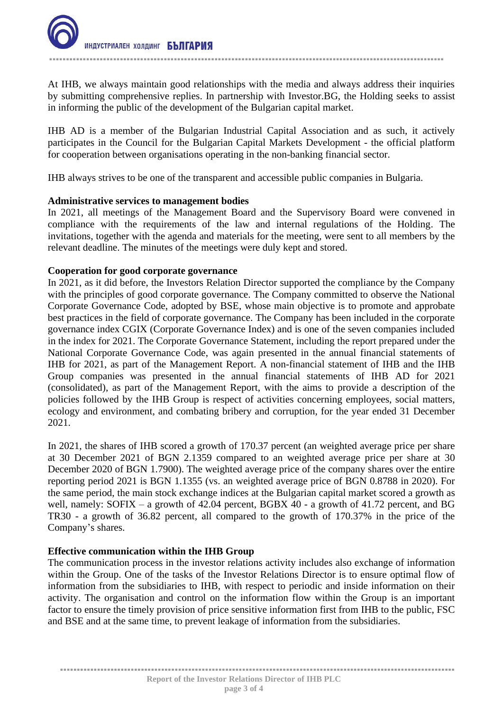At IHB, we always maintain good relationships with the media and always address their inquiries by submitting comprehensive replies. In partnership with Investor.BG, the Holding seeks to assist in informing the public of the development of the Bulgarian capital market.

IHB AD is a member of the Bulgarian Industrial Capital Association and as such, it actively participates in the Council for the Bulgarian Capital Markets Development - the official platform for cooperation between organisations operating in the non-banking financial sector.

IHB always strives to be one of the transparent and accessible public companies in Bulgaria.

### **Administrative services to management bodies**

In 2021, all meetings of the Management Board and the Supervisory Board were convened in compliance with the requirements of the law and internal regulations of the Holding. The invitations, together with the agenda and materials for the meeting, were sent to all members by the relevant deadline. The minutes of the meetings were duly kept and stored.

### **Cooperation for good corporate governance**

In 2021, as it did before, the Investors Relation Director supported the compliance by the Company with the principles of good corporate governance. The Company committed to observe the National Corporate Governance Code, adopted by BSE, whose main objective is to promote and approbate best practices in the field of corporate governance. The Company has been included in the corporate governance index CGIX (Corporate Governance Index) and is one of the seven companies included in the index for 2021. The Corporate Governance Statement, including the report prepared under the National Corporate Governance Code, was again presented in the annual financial statements of IHB for 2021, as part of the Management Report. A non-financial statement of IHB and the IHB Group companies was presented in the annual financial statements of IHB AD for 2021 (consolidated), as part of the Management Report, with the aims to provide a description of the policies followed by the IHB Group is respect of activities concerning employees, social matters, ecology and environment, and combating bribery and corruption, for the year ended 31 December 2021.

In 2021, the shares of IHB scored a growth of 170.37 percent (an weighted average price per share at 30 December 2021 of BGN 2.1359 compared to an weighted average price per share at 30 December 2020 of BGN 1.7900). The weighted average price of the company shares over the entire reporting period 2021 is BGN 1.1355 (vs. an weighted average price of BGN 0.8788 in 2020). For the same period, the main stock exchange indices at the Bulgarian capital market scored a growth as well, namely: SOFIX – a growth of 42.04 percent, BGBX 40 - a growth of 41.72 percent, and BG TR30 - a growth of 36.82 percent, all compared to the growth of 170.37% in the price of the Company's shares.

## **Effective communication within the IHB Group**

The communication process in the investor relations activity includes also exchange of information within the Group. One of the tasks of the Investor Relations Director is to ensure optimal flow of information from the subsidiaries to IHB, with respect to periodic and inside information on their activity. The organisation and control on the information flow within the Group is an important factor to ensure the timely provision of price sensitive information first from IHB to the public, FSC and BSE and at the same time, to prevent leakage of information from the subsidiaries.